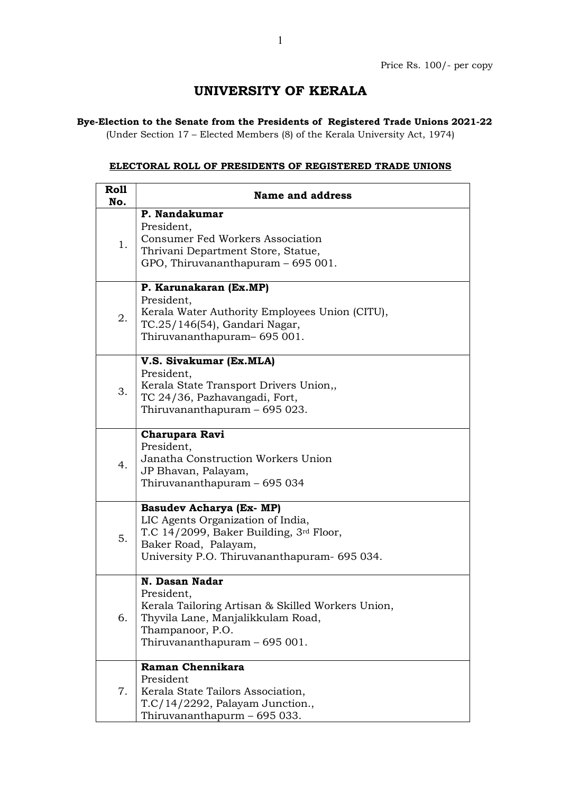## UNIVERSITY OF KERALA

## Bye-Election to the Senate from the Presidents of Registered Trade Unions 2021-22

(Under Section 17 – Elected Members (8) of the Kerala University Act, 1974)

## ELECTORAL ROLL OF PRESIDENTS OF REGISTERED TRADE UNIONS

| <b>Roll</b><br>No. | <b>Name and address</b>                                                                                                                                                                 |
|--------------------|-----------------------------------------------------------------------------------------------------------------------------------------------------------------------------------------|
| 1.                 | P. Nandakumar<br>President,<br><b>Consumer Fed Workers Association</b><br>Thrivani Department Store, Statue,<br>GPO, Thiruvananthapuram – 695 001.                                      |
| 2.                 | P. Karunakaran (Ex.MP)<br>President,<br>Kerala Water Authority Employees Union (CITU),<br>TC.25/146(54), Gandari Nagar,<br>Thiruvananthapuram-695001.                                   |
| 3.                 | V.S. Sivakumar (Ex.MLA)<br>President,<br>Kerala State Transport Drivers Union,,<br>TC 24/36, Pazhavangadi, Fort,<br>Thiruvananthapuram – 695 023.                                       |
| 4.                 | Charupara Ravi<br>President,<br>Janatha Construction Workers Union<br>JP Bhavan, Palayam,<br>Thiruvananthapuram - 695 034                                                               |
| 5.                 | <b>Basudev Acharya (Ex- MP)</b><br>LIC Agents Organization of India,<br>T.C 14/2099, Baker Building, 3rd Floor,<br>Baker Road, Palayam,<br>University P.O. Thiruvananthapuram- 695 034. |
| 6.                 | N. Dasan Nadar<br>President,<br>Kerala Tailoring Artisan & Skilled Workers Union,<br>Thyvila Lane, Manjalikkulam Road,<br>Thampanoor, P.O.<br>Thiruvananthapuram - 695 001.             |
| 7.                 | Raman Chennikara<br>President<br>Kerala State Tailors Association,<br>T.C/14/2292, Palayam Junction.,<br>Thiruvananthapurm - 695 033.                                                   |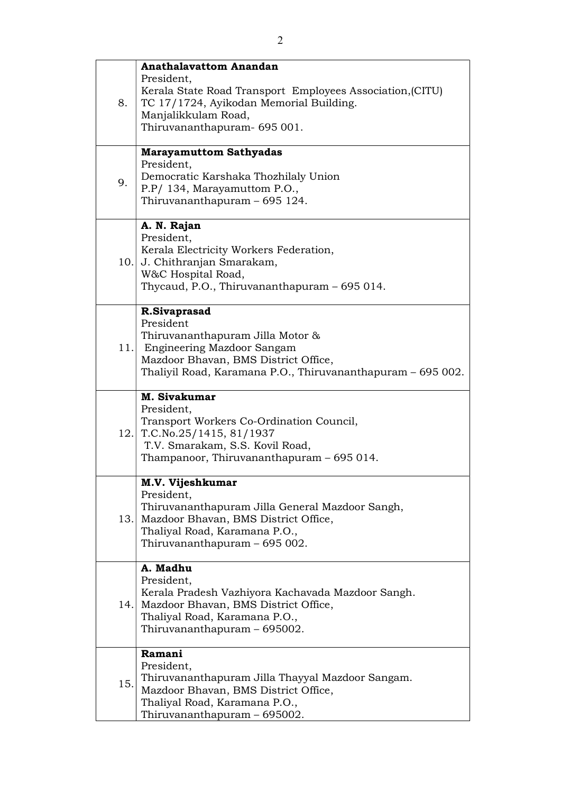| 8.  | <b>Anathalavattom Anandan</b><br>President,<br>Kerala State Road Transport Employees Association, (CITU)<br>TC 17/1724, Ayikodan Memorial Building.<br>Manjalikkulam Road,<br>Thiruvananthapuram- 695 001. |
|-----|------------------------------------------------------------------------------------------------------------------------------------------------------------------------------------------------------------|
| 9.  | <b>Marayamuttom Sathyadas</b><br>President,<br>Democratic Karshaka Thozhilaly Union<br>P.P/ 134, Marayamuttom P.O.,<br>Thiruvananthapuram - 695 124.                                                       |
|     | A. N. Rajan<br>President,<br>Kerala Electricity Workers Federation,<br>10. J. Chithranjan Smarakam,<br>W&C Hospital Road,<br>Thycaud, P.O., Thiruvananthapuram - 695 014.                                  |
|     | R.Sivaprasad<br>President<br>Thiruvananthapuram Jilla Motor &<br>11. Engineering Mazdoor Sangam<br>Mazdoor Bhavan, BMS District Office,<br>Thaliyil Road, Karamana P.O., Thiruvananthapuram - 695 002.     |
|     | M. Sivakumar<br>President,<br>Transport Workers Co-Ordination Council,<br>12. T.C.No.25/1415, 81/1937<br>T.V. Smarakam, S.S. Kovil Road,<br>Thampanoor, Thiruvananthapuram - 695 014.                      |
| 13. | M.V. Vijeshkumar<br>President,<br>Thiruvananthapuram Jilla General Mazdoor Sangh,<br>Mazdoor Bhavan, BMS District Office,<br>Thaliyal Road, Karamana P.O.,<br>Thiruvananthapuram - 695 002.                |
|     | A. Madhu<br>President,<br>Kerala Pradesh Vazhiyora Kachavada Mazdoor Sangh.<br>14. Mazdoor Bhavan, BMS District Office,<br>Thaliyal Road, Karamana P.O.,<br>Thiruvananthapuram – 695002.                   |
| 15. | Ramani<br>President,<br>Thiruvananthapuram Jilla Thayyal Mazdoor Sangam.<br>Mazdoor Bhavan, BMS District Office,<br>Thaliyal Road, Karamana P.O.,<br>Thiruvananthapuram - 695002.                          |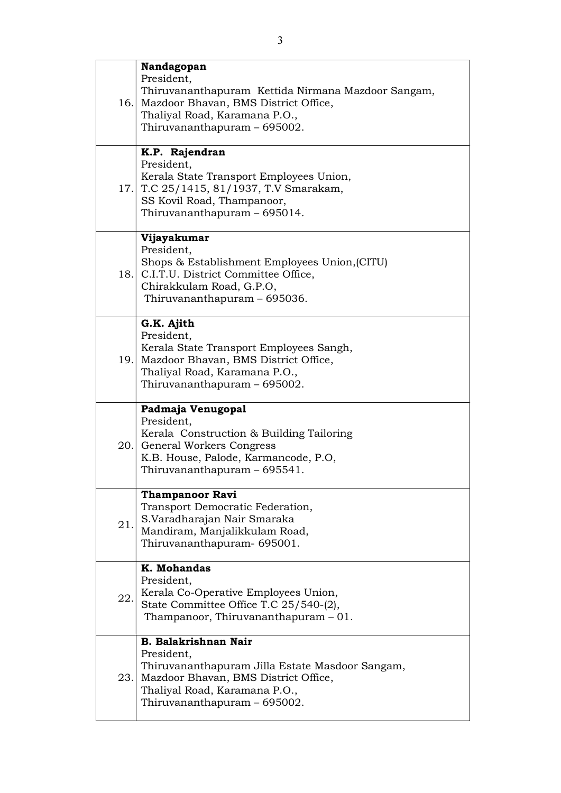|     | Nandagopan                                                                                                                                                                                                |
|-----|-----------------------------------------------------------------------------------------------------------------------------------------------------------------------------------------------------------|
|     | President,<br>Thiruvananthapuram Kettida Nirmana Mazdoor Sangam,<br>16. Mazdoor Bhavan, BMS District Office,<br>Thaliyal Road, Karamana P.O.,<br>Thiruvananthapuram - 695002.                             |
|     | K.P. Rajendran<br>President,<br>Kerala State Transport Employees Union,<br>17. T.C 25/1415, 81/1937, T.V Smarakam,<br>SS Kovil Road, Thampanoor,<br>Thiruvananthapuram - 695014.                          |
|     | Vijayakumar<br>President,<br>Shops & Establishment Employees Union, (CITU)<br>18. C.I.T.U. District Committee Office,<br>Chirakkulam Road, G.P.O,<br>Thiruvananthapuram - 695036.                         |
|     | G.K. Ajith<br>President,<br>Kerala State Transport Employees Sangh,<br>19. Mazdoor Bhavan, BMS District Office,<br>Thaliyal Road, Karamana P.O.,<br>Thiruvananthapuram - 695002.                          |
|     | Padmaja Venugopal<br>President,<br>Kerala Construction & Building Tailoring<br>20. General Workers Congress<br>K.B. House, Palode, Karmancode, P.O,<br>Thiruvananthapuram - 695541.                       |
| 21. | <b>Thampanoor Ravi</b><br>Transport Democratic Federation,<br>S.Varadharajan Nair Smaraka<br>Mandiram, Manjalikkulam Road,<br>Thiruvananthapuram- 695001.                                                 |
| 22. | K. Mohandas<br>President,<br>Kerala Co-Operative Employees Union,<br>State Committee Office T.C 25/540-(2),<br>Thampanoor, Thiruvananthapuram $-01$ .                                                     |
|     | <b>B. Balakrishnan Nair</b><br>President,<br>Thiruvananthapuram Jilla Estate Masdoor Sangam,<br>23. Mazdoor Bhavan, BMS District Office,<br>Thaliyal Road, Karamana P.O.,<br>Thiruvananthapuram - 695002. |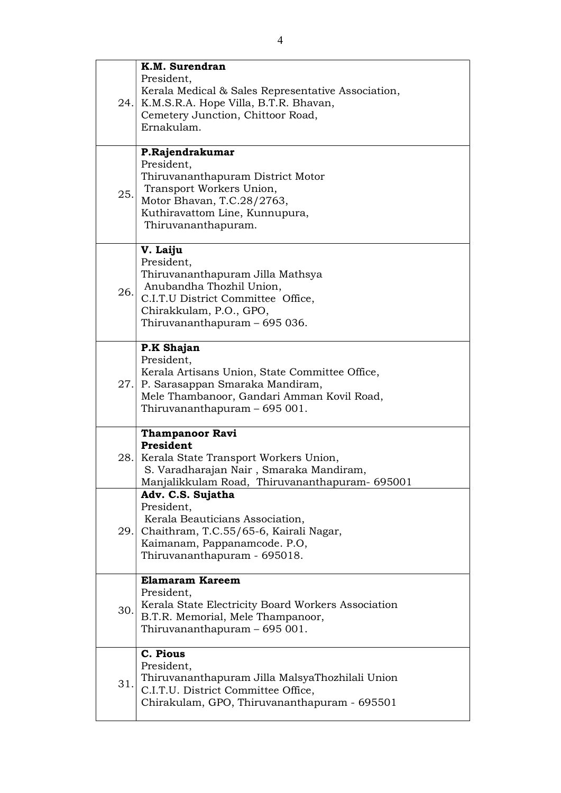|     | K.M. Surendran                                                                                                                                                       |
|-----|----------------------------------------------------------------------------------------------------------------------------------------------------------------------|
|     | President,<br>Kerala Medical & Sales Representative Association,<br>24. K.M.S.R.A. Hope Villa, B.T.R. Bhavan,<br>Cemetery Junction, Chittoor Road,<br>Ernakulam.     |
|     | P.Rajendrakumar                                                                                                                                                      |
| 25. | President,<br>Thiruvananthapuram District Motor<br>Transport Workers Union,<br>Motor Bhavan, T.C.28/2763,<br>Kuthiravattom Line, Kunnupura,<br>Thiruvananthapuram.   |
|     | V. Laiju<br>President,                                                                                                                                               |
| 26. | Thiruvananthapuram Jilla Mathsya<br>Anubandha Thozhil Union,<br>C.I.T.U District Committee Office,<br>Chirakkulam, P.O., GPO,<br>Thiruvananthapuram – 695 036.       |
|     | P.K Shajan<br>President,                                                                                                                                             |
|     | Kerala Artisans Union, State Committee Office,<br>27. P. Sarasappan Smaraka Mandiram,<br>Mele Thambanoor, Gandari Amman Kovil Road,<br>Thiruvananthapuram - 695 001. |
|     | <b>Thampanoor Ravi</b><br>President                                                                                                                                  |
|     | 28. Kerala State Transport Workers Union,<br>S. Varadharajan Nair, Smaraka Mandiram,<br>Manjalikkulam Road, Thiruvananthapuram- 695001                               |
|     | Adv. C.S. Sujatha<br>President,                                                                                                                                      |
|     | Kerala Beauticians Association,<br>29. Chaithram, T.C.55/65-6, Kairali Nagar,<br>Kaimanam, Pappanamcode. P.O,<br>Thiruvananthapuram - 695018.                        |
|     | <b>Elamaram Kareem</b><br>President,                                                                                                                                 |
| 30. | Kerala State Electricity Board Workers Association<br>B.T.R. Memorial, Mele Thampanoor,<br>Thiruvananthapuram - 695 001.                                             |
|     | C. Pious<br>President,                                                                                                                                               |
| 31. | Thiruvananthapuram Jilla MalsyaThozhilali Union<br>C.I.T.U. District Committee Office,<br>Chirakulam, GPO, Thiruvananthapuram - 695501                               |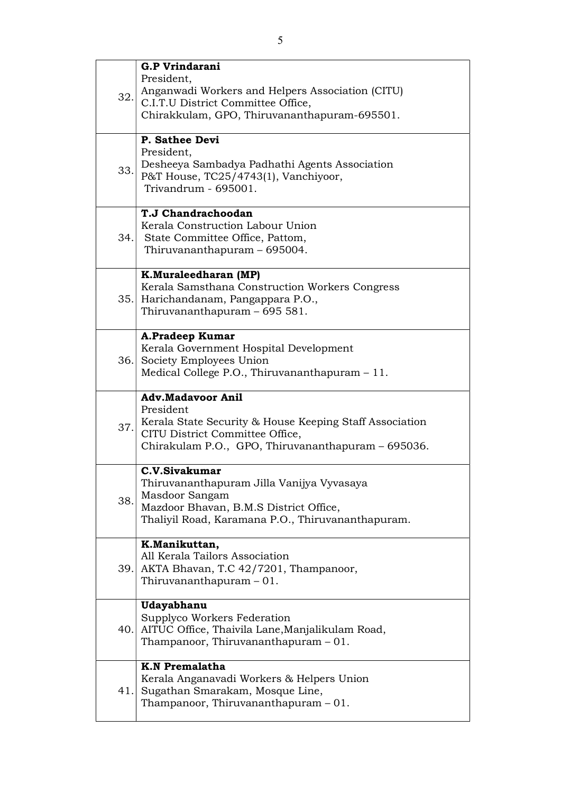|     | <b>G.P Vrindarani</b>                                                                                                                                                                     |
|-----|-------------------------------------------------------------------------------------------------------------------------------------------------------------------------------------------|
| 32. | President,<br>Anganwadi Workers and Helpers Association (CITU)<br>C.I.T.U District Committee Office,<br>Chirakkulam, GPO, Thiruvananthapuram-695501.                                      |
| 33. | P. Sathee Devi<br>President,<br>Desheeya Sambadya Padhathi Agents Association<br>P&T House, TC25/4743(1), Vanchiyoor,<br>Trivandrum - 695001.                                             |
|     | T.J Chandrachoodan<br>Kerala Construction Labour Union<br>34. State Committee Office, Pattom,<br>Thiruvananthapuram - 695004.                                                             |
|     | K.Muraleedharan (MP)<br>Kerala Samsthana Construction Workers Congress<br>35. Harichandanam, Pangappara P.O.,<br>Thiruvananthapuram - 695 581.                                            |
|     | A.Pradeep Kumar<br>Kerala Government Hospital Development<br>36. Society Employees Union<br>Medical College P.O., Thiruvananthapuram - 11.                                                |
| 37. | <b>Adv.Madavoor Anil</b><br>President<br>Kerala State Security & House Keeping Staff Association<br>CITU District Committee Office,<br>Chirakulam P.O., GPO, Thiruvananthapuram - 695036. |
| 38. | C.V.Sivakumar<br>Thiruvananthapuram Jilla Vanijya Vyvasaya<br>Masdoor Sangam<br>Mazdoor Bhavan, B.M.S District Office,<br>Thaliyil Road, Karamana P.O., Thiruvananthapuram.               |
|     |                                                                                                                                                                                           |
|     | K.Manikuttan,<br>All Kerala Tailors Association<br>39. AKTA Bhavan, T.C 42/7201, Thampanoor,<br>Thiruvananthapuram $-01$ .                                                                |
|     | Udayabhanu<br>Supplyco Workers Federation<br>40. AITUC Office, Thaivila Lane, Manjalikulam Road,<br>Thampanoor, Thiruvananthapuram $-01$ .                                                |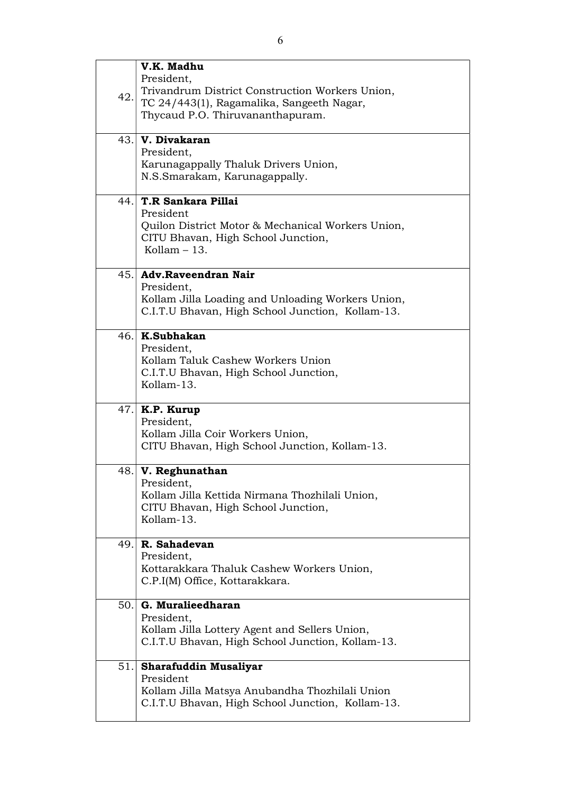|      | V.K. Madhu                                                                           |
|------|--------------------------------------------------------------------------------------|
|      | President,                                                                           |
| 42.  | Trivandrum District Construction Workers Union,                                      |
|      | TC 24/443(1), Ragamalika, Sangeeth Nagar,                                            |
|      | Thycaud P.O. Thiruvananthapuram.                                                     |
|      |                                                                                      |
|      | 43. V. Divakaran                                                                     |
|      | President,                                                                           |
|      | Karunagappally Thaluk Drivers Union,<br>N.S.Smarakam, Karunagappally.                |
|      |                                                                                      |
|      | 44. T.R Sankara Pillai                                                               |
|      | President                                                                            |
|      | Quilon District Motor & Mechanical Workers Union,                                    |
|      | CITU Bhavan, High School Junction,                                                   |
|      | Kollam $-13$ .                                                                       |
|      | 45. Adv.Raveendran Nair                                                              |
|      | President,                                                                           |
|      | Kollam Jilla Loading and Unloading Workers Union,                                    |
|      | C.I.T.U Bhavan, High School Junction, Kollam-13.                                     |
|      | 46. K.Subhakan                                                                       |
|      | President,                                                                           |
|      | Kollam Taluk Cashew Workers Union                                                    |
|      | C.I.T.U Bhavan, High School Junction,                                                |
|      | Kollam-13.                                                                           |
|      | $47$ . K.P. Kurup                                                                    |
|      | President,                                                                           |
|      | Kollam Jilla Coir Workers Union,                                                     |
|      | CITU Bhavan, High School Junction, Kollam-13.                                        |
|      |                                                                                      |
| 48.1 | V. Reghunathan                                                                       |
|      | President,                                                                           |
|      | Kollam Jilla Kettida Nirmana Thozhilali Union,<br>CITU Bhavan, High School Junction, |
|      | Kollam-13.                                                                           |
|      |                                                                                      |
| 49.1 | R. Sahadevan                                                                         |
|      | President,                                                                           |
|      | Kottarakkara Thaluk Cashew Workers Union,                                            |
|      | C.P.I(M) Office, Kottarakkara.                                                       |
| 50.1 | G. Muralieedharan                                                                    |
|      | President,                                                                           |
|      | Kollam Jilla Lottery Agent and Sellers Union,                                        |
|      | C.I.T.U Bhavan, High School Junction, Kollam-13.                                     |
| 51.  | <b>Sharafuddin Musaliyar</b>                                                         |
|      | President                                                                            |
|      | Kollam Jilla Matsya Anubandha Thozhilali Union                                       |
|      | C.I.T.U Bhavan, High School Junction, Kollam-13.                                     |
|      |                                                                                      |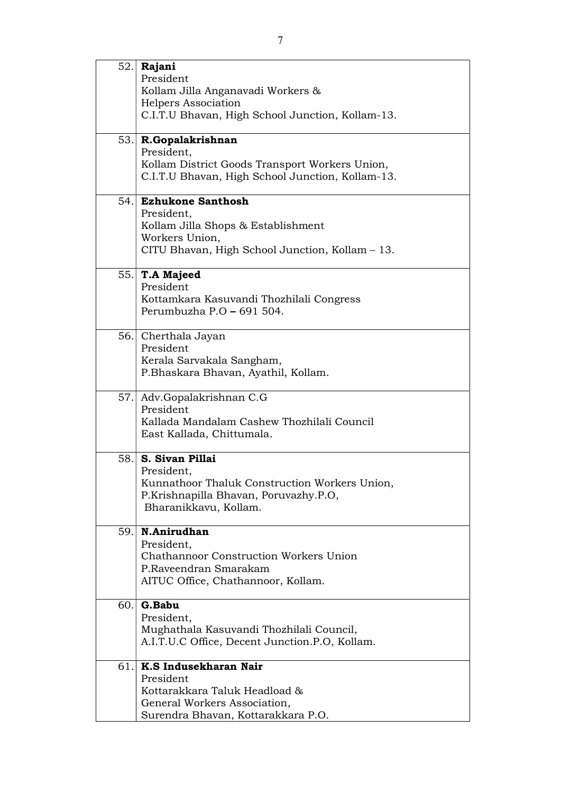|     | $52$ . Rajani                                    |
|-----|--------------------------------------------------|
|     | President                                        |
|     | Kollam Jilla Anganavadi Workers &                |
|     | Helpers Association                              |
|     | C.I.T.U Bhavan, High School Junction, Kollam-13. |
|     |                                                  |
|     | 53. R.Gopalakrishnan                             |
|     | President,                                       |
|     | Kollam District Goods Transport Workers Union,   |
|     | C.I.T.U Bhavan, High School Junction, Kollam-13. |
|     |                                                  |
| 54. | <b>Ezhukone Santhosh</b>                         |
|     | President,                                       |
|     | Kollam Jilla Shops & Establishment               |
|     | Workers Union,                                   |
|     | CITU Bhavan, High School Junction, Kollam - 13.  |
|     |                                                  |
|     | $55.$ T.A Majeed                                 |
|     | President                                        |
|     | Kottamkara Kasuvandi Thozhilali Congress         |
|     | Perumbuzha P.O - 691 504.                        |
|     |                                                  |
|     | 56. Cherthala Jayan                              |
|     | President                                        |
|     | Kerala Sarvakala Sangham,                        |
|     | P.Bhaskara Bhavan, Ayathil, Kollam.              |
|     |                                                  |
|     | 57. Adv.Gopalakrishnan C.G                       |
|     | President                                        |
|     | Kallada Mandalam Cashew Thozhilali Council       |
|     | East Kallada, Chittumala.                        |
|     |                                                  |
| 58. | S. Sivan Pillai                                  |
|     | President,                                       |
|     | Kunnathoor Thaluk Construction Workers Union,    |
|     | P.Krishnapilla Bhavan, Poruvazhy.P.O,            |
|     | Bharanikkavu, Kollam.                            |
|     |                                                  |
| 59. | N.Anirudhan                                      |
|     | President,                                       |
|     | <b>Chathannoor Construction Workers Union</b>    |
|     | P.Raveendran Smarakam                            |
|     | AITUC Office, Chathannoor, Kollam.               |
|     |                                                  |
| 60. | G.Babu                                           |
|     | President,                                       |
|     | Mughathala Kasuvandi Thozhilali Council,         |
|     | A.I.T.U.C Office, Decent Junction.P.O, Kollam.   |
|     | K.S Indusekharan Nair                            |
| 61. | President                                        |
|     | Kottarakkara Taluk Headload &                    |
|     |                                                  |
|     | General Workers Association,                     |
|     | Surendra Bhavan, Kottarakkara P.O.               |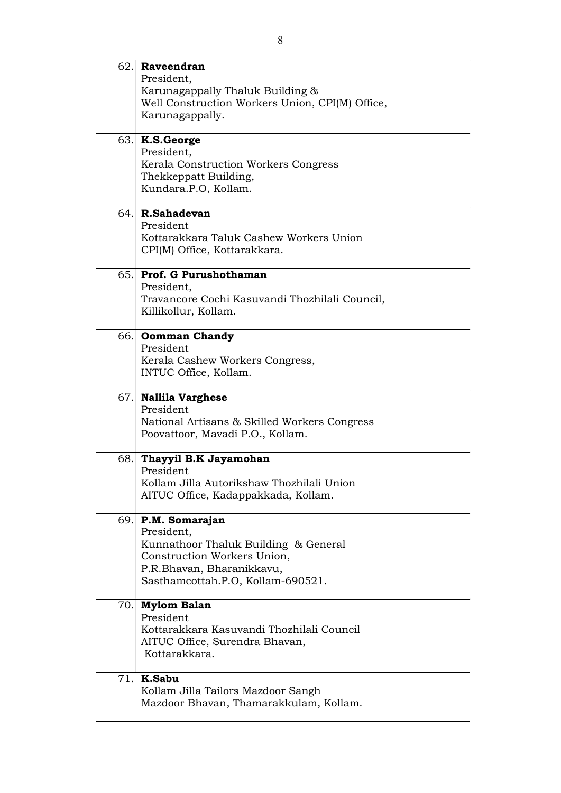| $62.$ Raveendran                                                                 |
|----------------------------------------------------------------------------------|
| President,                                                                       |
| Karunagappally Thaluk Building &                                                 |
| Well Construction Workers Union, CPI(M) Office,                                  |
| Karunagappally.                                                                  |
|                                                                                  |
| $63.$ K.S. George                                                                |
| President,                                                                       |
| Kerala Construction Workers Congress                                             |
| Thekkeppatt Building,<br>Kundara.P.O, Kollam.                                    |
|                                                                                  |
| $64.$ R.Sahadevan                                                                |
| President                                                                        |
| Kottarakkara Taluk Cashew Workers Union                                          |
| CPI(M) Office, Kottarakkara.                                                     |
|                                                                                  |
| 65. Prof. G Purushothaman                                                        |
| President,<br>Travancore Cochi Kasuvandi Thozhilali Council,                     |
| Killikollur, Kollam.                                                             |
|                                                                                  |
| 66. Oomman Chandy                                                                |
| President                                                                        |
| Kerala Cashew Workers Congress,                                                  |
| INTUC Office, Kollam.                                                            |
|                                                                                  |
| 67. Nallila Varghese                                                             |
| President                                                                        |
| National Artisans & Skilled Workers Congress<br>Poovattoor, Mavadi P.O., Kollam. |
|                                                                                  |
| 68. Thayyil B.K Jayamohan                                                        |
| President                                                                        |
| Kollam Jilla Autorikshaw Thozhilali Union                                        |
| AITUC Office, Kadappakkada, Kollam.                                              |
| $69$ . P.M. Somarajan                                                            |
| President,                                                                       |
| Kunnathoor Thaluk Building & General                                             |
| Construction Workers Union,                                                      |
| P.R.Bhavan, Bharanikkavu,                                                        |
| Sasthamcottah.P.O, Kollam-690521.                                                |
|                                                                                  |
| 70. Mylom Balan<br>President                                                     |
| Kottarakkara Kasuvandi Thozhilali Council                                        |
| AITUC Office, Surendra Bhavan,                                                   |
| Kottarakkara.                                                                    |
|                                                                                  |
| $71.$ K.Sabu                                                                     |
| Kollam Jilla Tailors Mazdoor Sangh                                               |
| Mazdoor Bhavan, Thamarakkulam, Kollam.                                           |
|                                                                                  |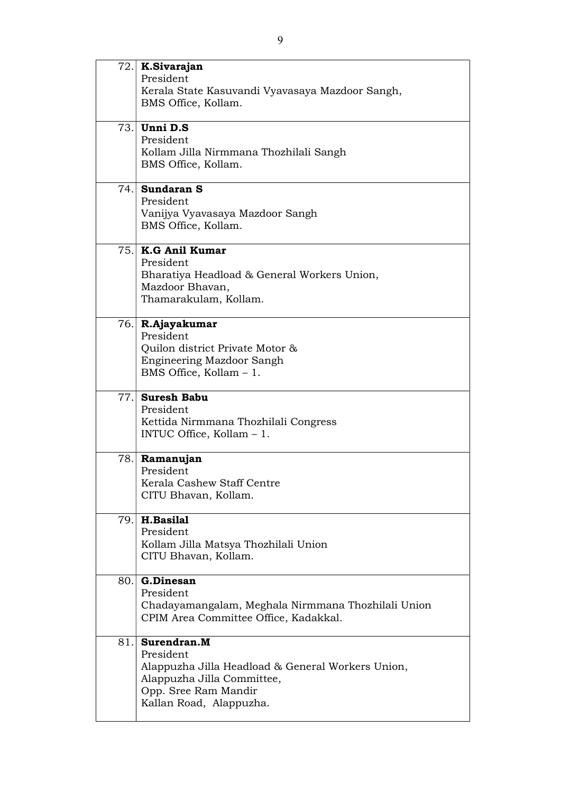|     | $72.$ K.Sivarajan<br>President<br>Kerala State Kasuvandi Vyavasaya Mazdoor Sangh,<br>BMS Office, Kollam.                                                       |
|-----|----------------------------------------------------------------------------------------------------------------------------------------------------------------|
|     | $73.$ Unni D.S<br>President<br>Kollam Jilla Nirmmana Thozhilali Sangh<br>BMS Office, Kollam.                                                                   |
|     | 74. Sundaran S<br>President<br>Vanijya Vyavasaya Mazdoor Sangh<br>BMS Office, Kollam.                                                                          |
|     | 75. K.G Anil Kumar<br>President<br>Bharatiya Headload & General Workers Union,<br>Mazdoor Bhavan,<br>Thamarakulam, Kollam.                                     |
|     | 76. R.Ajayakumar<br>President<br>Quilon district Private Motor &<br>Engineering Mazdoor Sangh<br>BMS Office, Kollam $-1$ .                                     |
|     | 77. Suresh Babu<br>President<br>Kettida Nirmmana Thozhilali Congress<br>INTUC Office, Kollam $-1$ .                                                            |
| 78. | Ramanujan<br>President<br>Kerala Cashew Staff Centre<br>CITU Bhavan, Kollam.                                                                                   |
| 79. | H.Basilal<br>President<br>Kollam Jilla Matsya Thozhilali Union<br>CITU Bhavan, Kollam.                                                                         |
| 80. | <b>G.Dinesan</b><br>President<br>Chadayamangalam, Meghala Nirmmana Thozhilali Union<br>CPIM Area Committee Office, Kadakkal.                                   |
| 81. | Surendran.M<br>President<br>Alappuzha Jilla Headload & General Workers Union,<br>Alappuzha Jilla Committee,<br>Opp. Sree Ram Mandir<br>Kallan Road, Alappuzha. |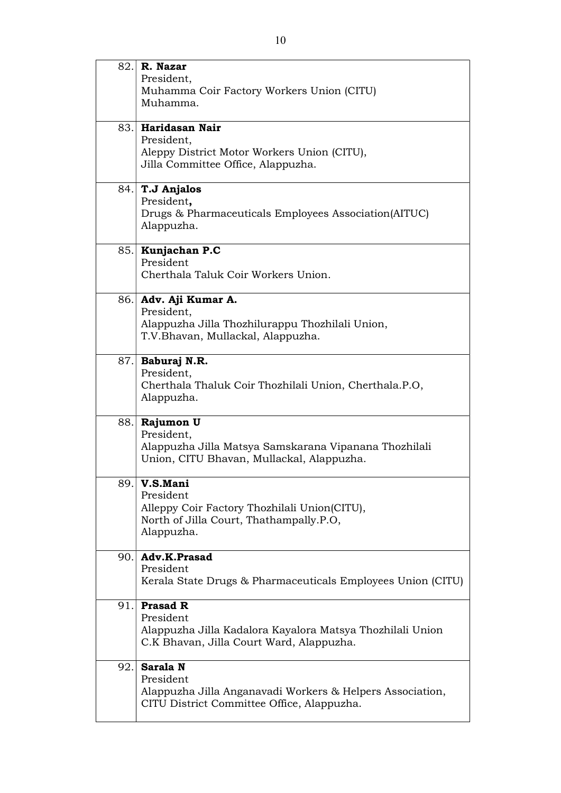|     | 82. R. Nazar                                                                                          |
|-----|-------------------------------------------------------------------------------------------------------|
|     | President,                                                                                            |
|     | Muhamma Coir Factory Workers Union (CITU)                                                             |
|     | Muhamma.                                                                                              |
|     | 83. Haridasan Nair                                                                                    |
|     | President,                                                                                            |
|     | Aleppy District Motor Workers Union (CITU),                                                           |
|     | Jilla Committee Office, Alappuzha.                                                                    |
| 84. | T.J Anjalos                                                                                           |
|     | President,                                                                                            |
|     | Drugs & Pharmaceuticals Employees Association (AITUC)                                                 |
|     | Alappuzha.                                                                                            |
|     | 85. Kunjachan P.C                                                                                     |
|     | President                                                                                             |
|     | Cherthala Taluk Coir Workers Union.                                                                   |
|     | 86. Adv. Aji Kumar A.                                                                                 |
|     | President,                                                                                            |
|     | Alappuzha Jilla Thozhilurappu Thozhilali Union,<br>T.V.Bhavan, Mullackal, Alappuzha.                  |
|     |                                                                                                       |
| 87. | <b>Baburaj N.R.</b>                                                                                   |
|     | President,                                                                                            |
|     | Cherthala Thaluk Coir Thozhilali Union, Cherthala.P.O,                                                |
|     | Alappuzha.                                                                                            |
|     | 88. Rajumon U                                                                                         |
|     | President,                                                                                            |
|     | Alappuzha Jilla Matsya Samskarana Vipanana Thozhilali<br>Union, CITU Bhavan, Mullackal, Alappuzha.    |
|     |                                                                                                       |
| 89. | V.S.Mani                                                                                              |
|     | President                                                                                             |
|     | Alleppy Coir Factory Thozhilali Union(CITU),<br>North of Jilla Court, Thathampally.P.O,               |
|     | Alappuzha.                                                                                            |
|     |                                                                                                       |
| 90. | Adv.K.Prasad<br>President                                                                             |
|     | Kerala State Drugs & Pharmaceuticals Employees Union (CITU)                                           |
|     |                                                                                                       |
| 91. | <b>Prasad R</b>                                                                                       |
|     | President                                                                                             |
|     | Alappuzha Jilla Kadalora Kayalora Matsya Thozhilali Union<br>C.K Bhavan, Jilla Court Ward, Alappuzha. |
|     |                                                                                                       |
| 92. | Sarala N                                                                                              |
|     | President<br>Alappuzha Jilla Anganavadi Workers & Helpers Association,                                |
|     | CITU District Committee Office, Alappuzha.                                                            |
|     |                                                                                                       |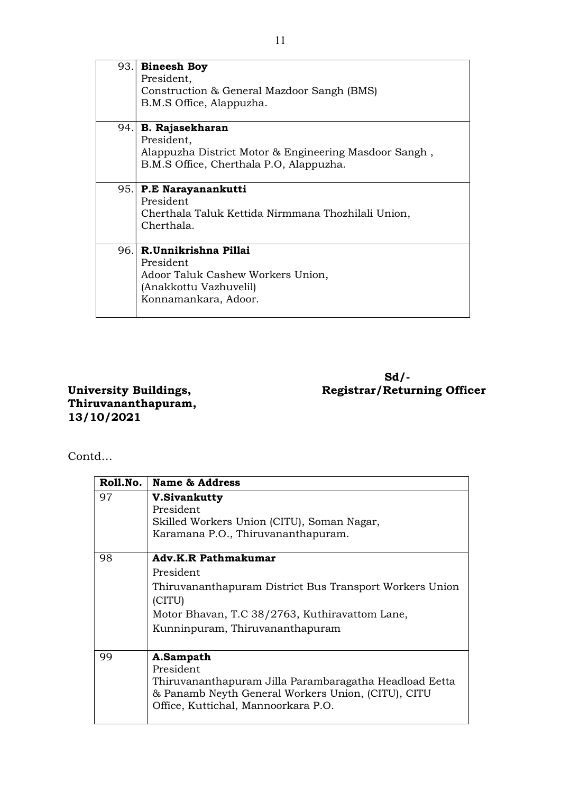| 93.  | <b>Bineesh Boy</b>                                    |
|------|-------------------------------------------------------|
|      | President,                                            |
|      | Construction & General Mazdoor Sangh (BMS)            |
|      | B.M.S Office, Alappuzha.                              |
|      |                                                       |
| 94.1 | <b>B.</b> Rajasekharan                                |
|      | President,                                            |
|      | Alappuzha District Motor & Engineering Masdoor Sangh, |
|      | B.M.S Office, Cherthala P.O., Alappuzha.              |
|      |                                                       |
| 95.  | P.E Narayanankutti                                    |
|      | President                                             |
|      | Cherthala Taluk Kettida Nirmmana Thozhilali Union,    |
|      | Cherthala.                                            |
|      |                                                       |
| 96.  | R.Unnikrishna Pillai                                  |
|      | President                                             |
|      | Adoor Taluk Cashew Workers Union,                     |
|      | (Anakkottu Vazhuvelil)                                |
|      | Konnamankara, Adoor.                                  |
|      |                                                       |
|      |                                                       |

 $Sd/$ -University Buildings, Registrar/Returning Officer

Thiruvananthapuram, 13/10/2021

Contd…

| Roll.No. | <b>Name &amp; Address</b>                                                                                                                                                                         |
|----------|---------------------------------------------------------------------------------------------------------------------------------------------------------------------------------------------------|
| 97       | <b>V.Sivankutty</b><br>President<br>Skilled Workers Union (CITU), Soman Nagar,<br>Karamana P.O., Thiruvananthapuram.                                                                              |
| 98       | <b>Adv.K.R Pathmakumar</b><br>President<br>Thiruvananthapuram District Bus Transport Workers Union<br>(CITU)<br>Motor Bhavan, T.C 38/2763, Kuthiravattom Lane,<br>Kunninpuram, Thiruvananthapuram |
| 99       | A.Sampath<br>President<br>Thiruvananthapuram Jilla Parambaragatha Headload Eetta<br>& Panamb Neyth General Workers Union, (CITU), CITU<br>Office, Kuttichal, Mannoorkara P.O.                     |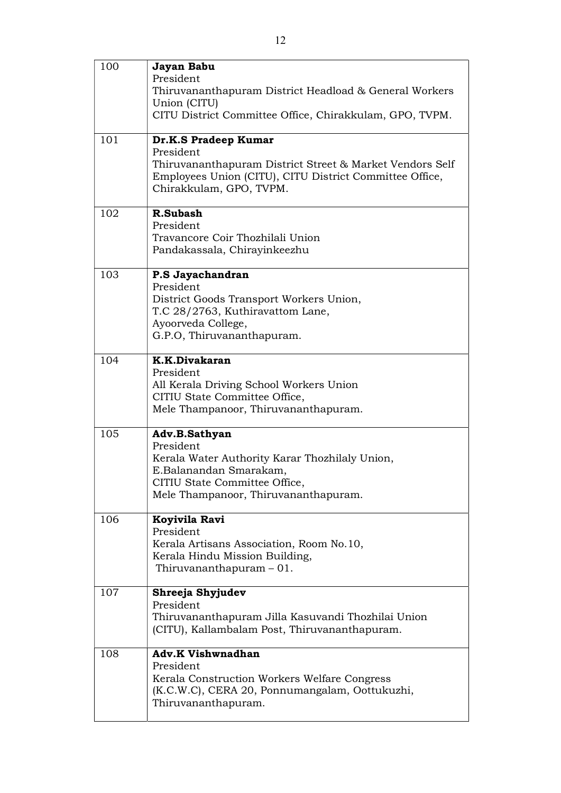| 100 | Jayan Babu<br>President<br>Thiruvananthapuram District Headload & General Workers<br>Union (CITU)<br>CITU District Committee Office, Chirakkulam, GPO, TVPM.                        |
|-----|-------------------------------------------------------------------------------------------------------------------------------------------------------------------------------------|
| 101 | Dr.K.S Pradeep Kumar<br>President<br>Thiruvananthapuram District Street & Market Vendors Self<br>Employees Union (CITU), CITU District Committee Office,<br>Chirakkulam, GPO, TVPM. |
| 102 | R.Subash<br>President<br>Travancore Coir Thozhilali Union<br>Pandakassala, Chirayinkeezhu                                                                                           |
| 103 | P.S Jayachandran<br>President<br>District Goods Transport Workers Union,<br>T.C 28/2763, Kuthiravattom Lane,<br>Ayoorveda College,<br>G.P.O, Thiruvananthapuram.                    |
| 104 | K.K.Divakaran<br>President<br>All Kerala Driving School Workers Union<br>CITIU State Committee Office,<br>Mele Thampanoor, Thiruvananthapuram.                                      |
| 105 | Adv.B.Sathyan<br>President<br>Kerala Water Authority Karar Thozhilaly Union,<br>E.Balanandan Smarakam,<br>CITIU State Committee Office,<br>Mele Thampanoor, Thiruvananthapuram.     |
| 106 | Koyivila Ravi<br>President<br>Kerala Artisans Association, Room No.10,<br>Kerala Hindu Mission Building,<br>Thiruvananthapuram $-01$ .                                              |
| 107 | Shreeja Shyjudev<br>President<br>Thiruvananthapuram Jilla Kasuvandi Thozhilai Union<br>(CITU), Kallambalam Post, Thiruvananthapuram.                                                |
| 108 | <b>Adv.K Vishwnadhan</b><br>President<br>Kerala Construction Workers Welfare Congress<br>(K.C.W.C), CERA 20, Ponnumangalam, Oottukuzhi,<br>Thiruvananthapuram.                      |